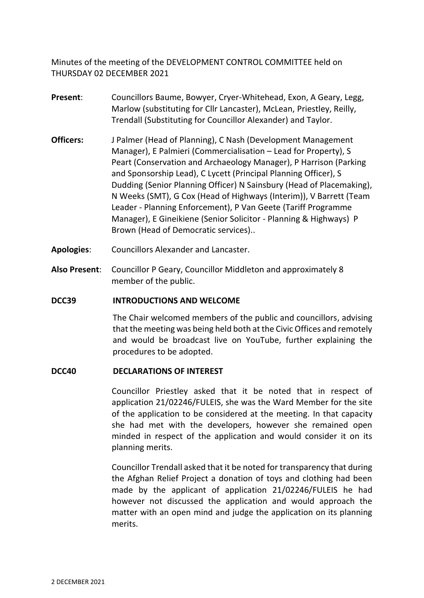Minutes of the meeting of the DEVELOPMENT CONTROL COMMITTEE held on THURSDAY 02 DECEMBER 2021

- **Present**: Councillors Baume, Bowyer, Cryer-Whitehead, Exon, A Geary, Legg, Marlow (substituting for Cllr Lancaster), McLean, Priestley, Reilly, Trendall (Substituting for Councillor Alexander) and Taylor.
- **Officers:** J Palmer (Head of Planning), C Nash (Development Management Manager), E Palmieri (Commercialisation – Lead for Property), S Peart (Conservation and Archaeology Manager), P Harrison (Parking and Sponsorship Lead), C Lycett (Principal Planning Officer), S Dudding (Senior Planning Officer) N Sainsbury (Head of Placemaking), N Weeks (SMT), G Cox (Head of Highways (Interim)), V Barrett (Team Leader - Planning Enforcement), P Van Geete (Tariff Programme Manager), E Gineikiene (Senior Solicitor - Planning & Highways) P Brown (Head of Democratic services)..
- **Apologies**: Councillors Alexander and Lancaster.
- **Also Present**: Councillor P Geary, Councillor Middleton and approximately 8 member of the public.

### **DCC39 INTRODUCTIONS AND WELCOME**

The Chair welcomed members of the public and councillors, advising that the meeting was being held both at the Civic Offices and remotely and would be broadcast live on YouTube, further explaining the procedures to be adopted.

### **DCC40 DECLARATIONS OF INTEREST**

Councillor Priestley asked that it be noted that in respect of application 21/02246/FULEIS, she was the Ward Member for the site of the application to be considered at the meeting. In that capacity she had met with the developers, however she remained open minded in respect of the application and would consider it on its planning merits.

Councillor Trendall asked that it be noted for transparency that during the Afghan Relief Project a donation of toys and clothing had been made by the applicant of application 21/02246/FULEIS he had however not discussed the application and would approach the matter with an open mind and judge the application on its planning merits.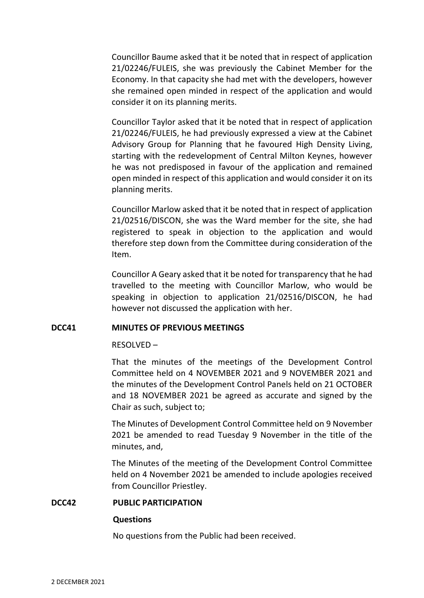Councillor Baume asked that it be noted that in respect of application 21/02246/FULEIS, she was previously the Cabinet Member for the Economy. In that capacity she had met with the developers, however she remained open minded in respect of the application and would consider it on its planning merits.

Councillor Taylor asked that it be noted that in respect of application 21/02246/FULEIS, he had previously expressed a view at the Cabinet Advisory Group for Planning that he favoured High Density Living, starting with the redevelopment of Central Milton Keynes, however he was not predisposed in favour of the application and remained open minded in respect of this application and would consider it on its planning merits.

Councillor Marlow asked that it be noted that in respect of application 21/02516/DISCON, she was the Ward member for the site, she had registered to speak in objection to the application and would therefore step down from the Committee during consideration of the Item.

Councillor A Geary asked that it be noted for transparency that he had travelled to the meeting with Councillor Marlow, who would be speaking in objection to application 21/02516/DISCON, he had however not discussed the application with her.

### **DCC41 MINUTES OF PREVIOUS MEETINGS**

RESOLVED –

That the minutes of the meetings of the Development Control Committee held on 4 NOVEMBER 2021 and 9 NOVEMBER 2021 and the minutes of the Development Control Panels held on 21 OCTOBER and 18 NOVEMBER 2021 be agreed as accurate and signed by the Chair as such, subject to;

The Minutes of Development Control Committee held on 9 November 2021 be amended to read Tuesday 9 November in the title of the minutes, and,

The Minutes of the meeting of the Development Control Committee held on 4 November 2021 be amended to include apologies received from Councillor Priestley.

### **DCC42 PUBLIC PARTICIPATION**

### **Questions**

No questions from the Public had been received.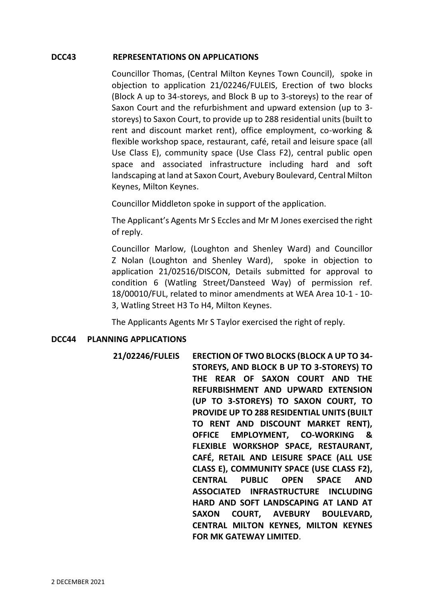### **DCC43 REPRESENTATIONS ON APPLICATIONS**

Councillor Thomas, (Central Milton Keynes Town Council), spoke in objection to application 21/02246/FULEIS, Erection of two blocks (Block A up to 34-storeys, and Block B up to 3-storeys) to the rear of Saxon Court and the refurbishment and upward extension (up to 3 storeys) to Saxon Court, to provide up to 288 residential units (built to rent and discount market rent), office employment, co-working & flexible workshop space, restaurant, café, retail and leisure space (all Use Class E), community space (Use Class F2), central public open space and associated infrastructure including hard and soft landscaping at land at Saxon Court, Avebury Boulevard, Central Milton Keynes, Milton Keynes.

Councillor Middleton spoke in support of the application.

The Applicant's Agents Mr S Eccles and Mr M Jones exercised the right of reply.

Councillor Marlow, (Loughton and Shenley Ward) and Councillor Z Nolan (Loughton and Shenley Ward), spoke in objection to application 21/02516/DISCON, Details submitted for approval to condition 6 (Watling Street/Dansteed Way) of permission ref. 18/00010/FUL, related to minor amendments at WEA Area 10-1 - 10- 3, Watling Street H3 To H4, Milton Keynes.

The Applicants Agents Mr S Taylor exercised the right of reply.

## **DCC44 PLANNING APPLICATIONS**

**21/02246/FULEIS ERECTION OF TWO BLOCKS (BLOCK A UP TO 34- STOREYS, AND BLOCK B UP TO 3-STOREYS) TO THE REAR OF SAXON COURT AND THE REFURBISHMENT AND UPWARD EXTENSION (UP TO 3-STOREYS) TO SAXON COURT, TO PROVIDE UP TO 288 RESIDENTIAL UNITS (BUILT TO RENT AND DISCOUNT MARKET RENT), OFFICE EMPLOYMENT, CO-WORKING & FLEXIBLE WORKSHOP SPACE, RESTAURANT, CAFÉ, RETAIL AND LEISURE SPACE (ALL USE CLASS E), COMMUNITY SPACE (USE CLASS F2), CENTRAL PUBLIC OPEN SPACE AND ASSOCIATED INFRASTRUCTURE INCLUDING HARD AND SOFT LANDSCAPING AT LAND AT SAXON COURT, AVEBURY BOULEVARD, CENTRAL MILTON KEYNES, MILTON KEYNES FOR MK GATEWAY LIMITED**.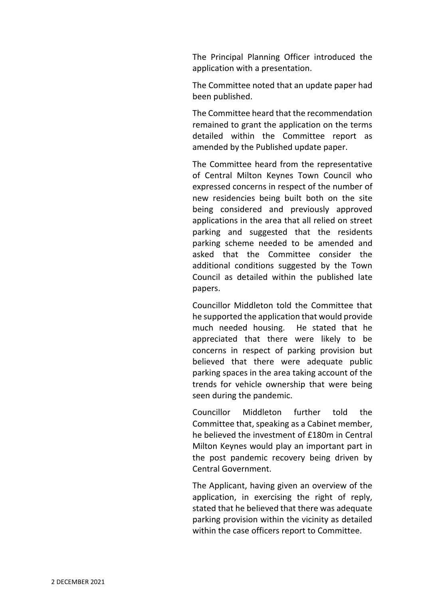The Principal Planning Officer introduced the application with a presentation.

The Committee noted that an update paper had been published.

The Committee heard that the recommendation remained to grant the application on the terms detailed within the Committee report as amended by the Published update paper.

The Committee heard from the representative of Central Milton Keynes Town Council who expressed concerns in respect of the number of new residencies being built both on the site being considered and previously approved applications in the area that all relied on street parking and suggested that the residents parking scheme needed to be amended and asked that the Committee consider the additional conditions suggested by the Town Council as detailed within the published late papers.

Councillor Middleton told the Committee that he supported the application that would provide much needed housing. He stated that he appreciated that there were likely to be concerns in respect of parking provision but believed that there were adequate public parking spaces in the area taking account of the trends for vehicle ownership that were being seen during the pandemic.

Councillor Middleton further told the Committee that, speaking as a Cabinet member, he believed the investment of £180m in Central Milton Keynes would play an important part in the post pandemic recovery being driven by Central Government.

The Applicant, having given an overview of the application, in exercising the right of reply, stated that he believed that there was adequate parking provision within the vicinity as detailed within the case officers report to Committee.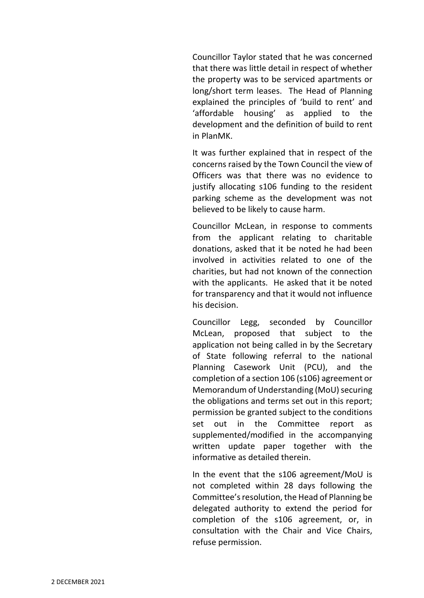Councillor Taylor stated that he was concerned that there was little detail in respect of whether the property was to be serviced apartments or long/short term leases. The Head of Planning explained the principles of 'build to rent' and 'affordable housing' as applied to the development and the definition of build to rent in PlanMK.

It was further explained that in respect of the concerns raised by the Town Council the view of Officers was that there was no evidence to justify allocating s106 funding to the resident parking scheme as the development was not believed to be likely to cause harm.

Councillor McLean, in response to comments from the applicant relating to charitable donations, asked that it be noted he had been involved in activities related to one of the charities, but had not known of the connection with the applicants. He asked that it be noted for transparency and that it would not influence his decision.

Councillor Legg, seconded by Councillor McLean, proposed that subject to the application not being called in by the Secretary of State following referral to the national Planning Casework Unit (PCU), and the completion of a section 106 (s106) agreement or Memorandum of Understanding (MoU) securing the obligations and terms set out in this report; permission be granted subject to the conditions set out in the Committee report as supplemented/modified in the accompanying written update paper together with the informative as detailed therein.

In the event that the s106 agreement/MoU is not completed within 28 days following the Committee's resolution, the Head of Planning be delegated authority to extend the period for completion of the s106 agreement, or, in consultation with the Chair and Vice Chairs, refuse permission.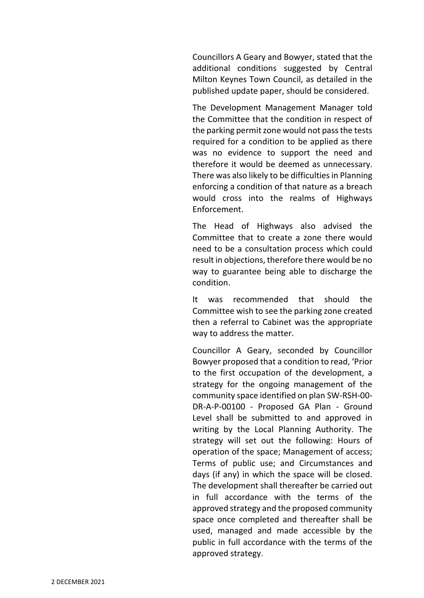Councillors A Geary and Bowyer, stated that the additional conditions suggested by Central Milton Keynes Town Council, as detailed in the published update paper, should be considered.

The Development Management Manager told the Committee that the condition in respect of the parking permit zone would not pass the tests required for a condition to be applied as there was no evidence to support the need and therefore it would be deemed as unnecessary. There was also likely to be difficulties in Planning enforcing a condition of that nature as a breach would cross into the realms of Highways Enforcement.

The Head of Highways also advised the Committee that to create a zone there would need to be a consultation process which could result in objections, therefore there would be no way to guarantee being able to discharge the condition.

It was recommended that should the Committee wish to see the parking zone created then a referral to Cabinet was the appropriate way to address the matter.

Councillor A Geary, seconded by Councillor Bowyer proposed that a condition to read, 'Prior to the first occupation of the development, a strategy for the ongoing management of the community space identified on plan SW-RSH-00- DR-A-P-00100 - Proposed GA Plan - Ground Level shall be submitted to and approved in writing by the Local Planning Authority. The strategy will set out the following: Hours of operation of the space; Management of access; Terms of public use; and Circumstances and days (if any) in which the space will be closed. The development shall thereafter be carried out in full accordance with the terms of the approved strategy and the proposed community space once completed and thereafter shall be used, managed and made accessible by the public in full accordance with the terms of the approved strategy.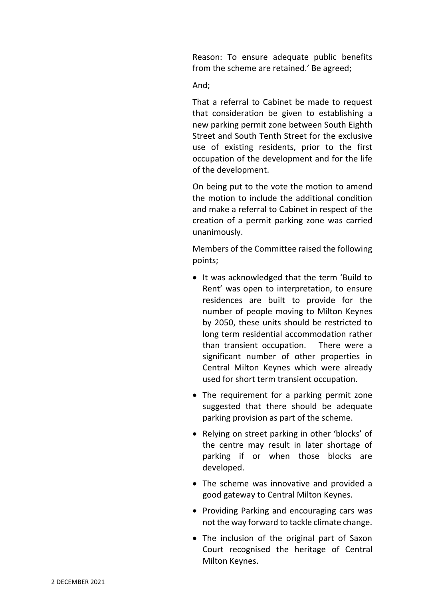Reason: To ensure adequate public benefits from the scheme are retained.' Be agreed;

And;

That a referral to Cabinet be made to request that consideration be given to establishing a new parking permit zone between South Eighth Street and South Tenth Street for the exclusive use of existing residents, prior to the first occupation of the development and for the life of the development.

On being put to the vote the motion to amend the motion to include the additional condition and make a referral to Cabinet in respect of the creation of a permit parking zone was carried unanimously.

Members of the Committee raised the following points;

- It was acknowledged that the term 'Build to Rent' was open to interpretation, to ensure residences are built to provide for the number of people moving to Milton Keynes by 2050, these units should be restricted to long term residential accommodation rather than transient occupation. There were a significant number of other properties in Central Milton Keynes which were already used for short term transient occupation.
- The requirement for a parking permit zone suggested that there should be adequate parking provision as part of the scheme.
- Relying on street parking in other 'blocks' of the centre may result in later shortage of parking if or when those blocks are developed.
- The scheme was innovative and provided a good gateway to Central Milton Keynes.
- Providing Parking and encouraging cars was not the way forward to tackle climate change.
- The inclusion of the original part of Saxon Court recognised the heritage of Central Milton Keynes.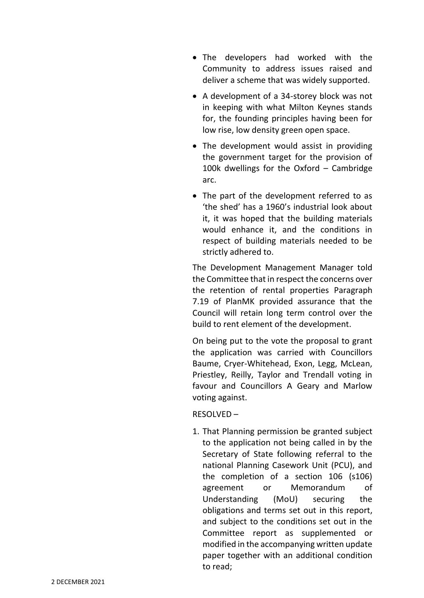- The developers had worked with the Community to address issues raised and deliver a scheme that was widely supported.
- A development of a 34-storey block was not in keeping with what Milton Keynes stands for, the founding principles having been for low rise, low density green open space.
- The development would assist in providing the government target for the provision of 100k dwellings for the Oxford – Cambridge arc.
- The part of the development referred to as 'the shed' has a 1960's industrial look about it, it was hoped that the building materials would enhance it, and the conditions in respect of building materials needed to be strictly adhered to.

The Development Management Manager told the Committee that in respect the concerns over the retention of rental properties Paragraph 7.19 of PlanMK provided assurance that the Council will retain long term control over the build to rent element of the development.

On being put to the vote the proposal to grant the application was carried with Councillors Baume, Cryer-Whitehead, Exon, Legg, McLean, Priestley, Reilly, Taylor and Trendall voting in favour and Councillors A Geary and Marlow voting against.

## RESOLVED –

1. That Planning permission be granted subject to the application not being called in by the Secretary of State following referral to the national Planning Casework Unit (PCU), and the completion of a section 106 (s106) agreement or Memorandum of Understanding (MoU) securing the obligations and terms set out in this report, and subject to the conditions set out in the Committee report as supplemented or modified in the accompanying written update paper together with an additional condition to read;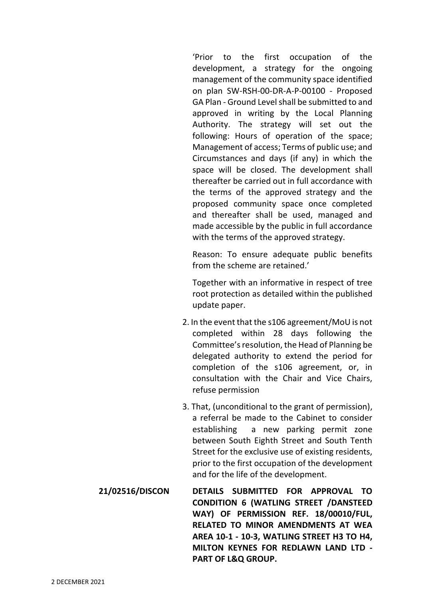'Prior to the first occupation of the development, a strategy for the ongoing management of the community space identified on plan SW-RSH-00-DR-A-P-00100 - Proposed GA Plan - Ground Level shall be submitted to and approved in writing by the Local Planning Authority. The strategy will set out the following: Hours of operation of the space; Management of access; Terms of public use; and Circumstances and days (if any) in which the space will be closed. The development shall thereafter be carried out in full accordance with the terms of the approved strategy and the proposed community space once completed and thereafter shall be used, managed and made accessible by the public in full accordance with the terms of the approved strategy.

Reason: To ensure adequate public benefits from the scheme are retained.'

Together with an informative in respect of tree root protection as detailed within the published update paper.

- 2. In the event that the s106 agreement/MoU is not completed within 28 days following the Committee's resolution, the Head of Planning be delegated authority to extend the period for completion of the s106 agreement, or, in consultation with the Chair and Vice Chairs, refuse permission
- 3. That, (unconditional to the grant of permission), a referral be made to the Cabinet to consider establishing a new parking permit zone between South Eighth Street and South Tenth Street for the exclusive use of existing residents, prior to the first occupation of the development and for the life of the development.
- **21/02516/DISCON DETAILS SUBMITTED FOR APPROVAL TO CONDITION 6 (WATLING STREET /DANSTEED WAY) OF PERMISSION REF. 18/00010/FUL, RELATED TO MINOR AMENDMENTS AT WEA AREA 10-1 - 10-3, WATLING STREET H3 TO H4, MILTON KEYNES FOR REDLAWN LAND LTD - PART OF L&Q GROUP.**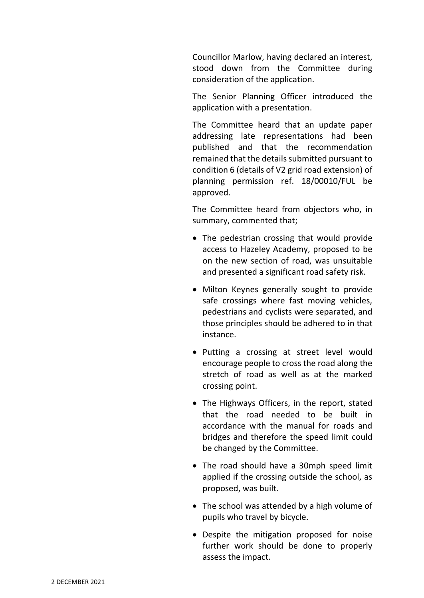Councillor Marlow, having declared an interest, stood down from the Committee during consideration of the application.

The Senior Planning Officer introduced the application with a presentation.

The Committee heard that an update paper addressing late representations had been published and that the recommendation remained that the details submitted pursuant to condition 6 (details of V2 grid road extension) of planning permission ref. 18/00010/FUL be approved.

The Committee heard from objectors who, in summary, commented that;

- The pedestrian crossing that would provide access to Hazeley Academy, proposed to be on the new section of road, was unsuitable and presented a significant road safety risk.
- Milton Keynes generally sought to provide safe crossings where fast moving vehicles, pedestrians and cyclists were separated, and those principles should be adhered to in that instance.
- Putting a crossing at street level would encourage people to cross the road along the stretch of road as well as at the marked crossing point.
- The Highways Officers, in the report, stated that the road needed to be built in accordance with the manual for roads and bridges and therefore the speed limit could be changed by the Committee.
- The road should have a 30mph speed limit applied if the crossing outside the school, as proposed, was built.
- The school was attended by a high volume of pupils who travel by bicycle.
- Despite the mitigation proposed for noise further work should be done to properly assess the impact.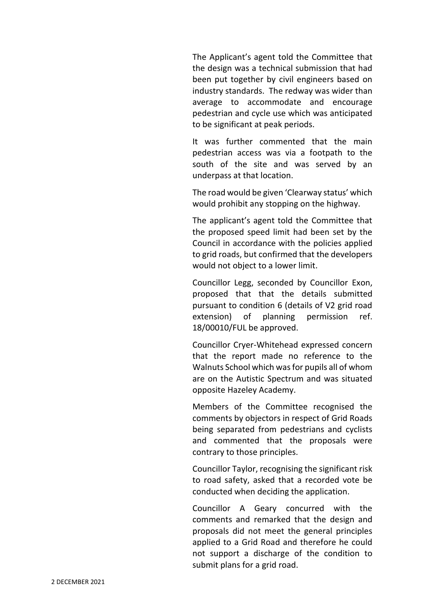The Applicant's agent told the Committee that the design was a technical submission that had been put together by civil engineers based on industry standards. The redway was wider than average to accommodate and encourage pedestrian and cycle use which was anticipated to be significant at peak periods.

It was further commented that the main pedestrian access was via a footpath to the south of the site and was served by an underpass at that location.

The road would be given 'Clearway status' which would prohibit any stopping on the highway.

The applicant's agent told the Committee that the proposed speed limit had been set by the Council in accordance with the policies applied to grid roads, but confirmed that the developers would not object to a lower limit.

Councillor Legg, seconded by Councillor Exon, proposed that that the details submitted pursuant to condition 6 (details of V2 grid road extension) of planning permission ref. 18/00010/FUL be approved.

Councillor Cryer-Whitehead expressed concern that the report made no reference to the Walnuts School which was for pupils all of whom are on the Autistic Spectrum and was situated opposite Hazeley Academy.

Members of the Committee recognised the comments by objectors in respect of Grid Roads being separated from pedestrians and cyclists and commented that the proposals were contrary to those principles.

Councillor Taylor, recognising the significant risk to road safety, asked that a recorded vote be conducted when deciding the application.

Councillor A Geary concurred with the comments and remarked that the design and proposals did not meet the general principles applied to a Grid Road and therefore he could not support a discharge of the condition to submit plans for a grid road.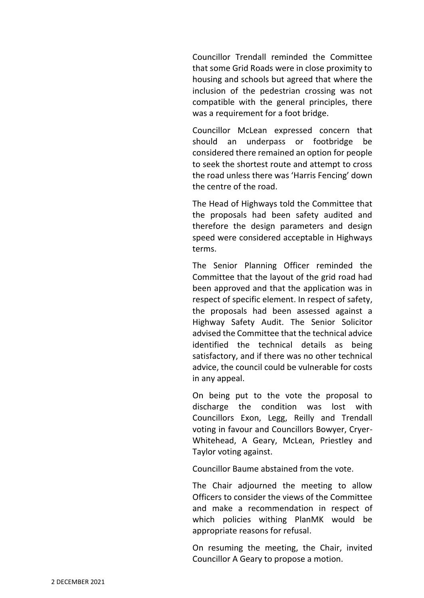Councillor Trendall reminded the Committee that some Grid Roads were in close proximity to housing and schools but agreed that where the inclusion of the pedestrian crossing was not compatible with the general principles, there was a requirement for a foot bridge.

Councillor McLean expressed concern that should an underpass or footbridge be considered there remained an option for people to seek the shortest route and attempt to cross the road unless there was 'Harris Fencing' down the centre of the road.

The Head of Highways told the Committee that the proposals had been safety audited and therefore the design parameters and design speed were considered acceptable in Highways terms.

The Senior Planning Officer reminded the Committee that the layout of the grid road had been approved and that the application was in respect of specific element. In respect of safety, the proposals had been assessed against a Highway Safety Audit. The Senior Solicitor advised the Committee that the technical advice identified the technical details as being satisfactory, and if there was no other technical advice, the council could be vulnerable for costs in any appeal.

On being put to the vote the proposal to discharge the condition was lost with Councillors Exon, Legg, Reilly and Trendall voting in favour and Councillors Bowyer, Cryer-Whitehead, A Geary, McLean, Priestley and Taylor voting against.

Councillor Baume abstained from the vote.

The Chair adjourned the meeting to allow Officers to consider the views of the Committee and make a recommendation in respect of which policies withing PlanMK would be appropriate reasons for refusal.

On resuming the meeting, the Chair, invited Councillor A Geary to propose a motion.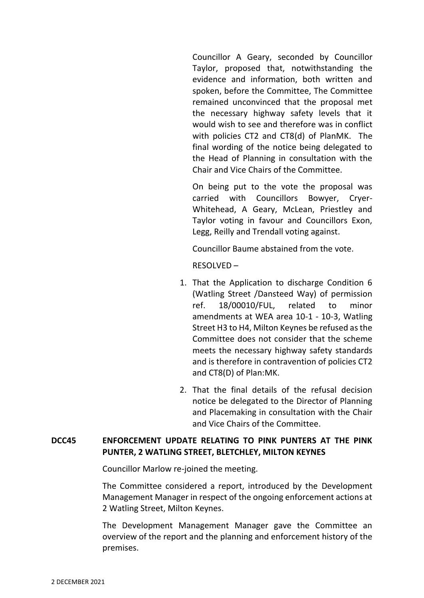Councillor A Geary, seconded by Councillor Taylor, proposed that, notwithstanding the evidence and information, both written and spoken, before the Committee, The Committee remained unconvinced that the proposal met the necessary highway safety levels that it would wish to see and therefore was in conflict with policies CT2 and CT8(d) of PlanMK. The final wording of the notice being delegated to the Head of Planning in consultation with the Chair and Vice Chairs of the Committee.

On being put to the vote the proposal was carried with Councillors Bowyer, Cryer-Whitehead, A Geary, McLean, Priestley and Taylor voting in favour and Councillors Exon, Legg, Reilly and Trendall voting against.

Councillor Baume abstained from the vote.

RESOLVED –

- 1. That the Application to discharge Condition 6 (Watling Street /Dansteed Way) of permission ref. 18/00010/FUL, related to minor amendments at WEA area 10-1 - 10-3, Watling Street H3 to H4, Milton Keynes be refused as the Committee does not consider that the scheme meets the necessary highway safety standards and is therefore in contravention of policies CT2 and CT8(D) of Plan:MK.
- 2. That the final details of the refusal decision notice be delegated to the Director of Planning and Placemaking in consultation with the Chair and Vice Chairs of the Committee.

# **DCC45 ENFORCEMENT UPDATE RELATING TO PINK PUNTERS AT THE PINK PUNTER, 2 WATLING STREET, BLETCHLEY, MILTON KEYNES**

Councillor Marlow re-joined the meeting.

The Committee considered a report, introduced by the Development Management Manager in respect of the ongoing enforcement actions at 2 Watling Street, Milton Keynes.

The Development Management Manager gave the Committee an overview of the report and the planning and enforcement history of the premises.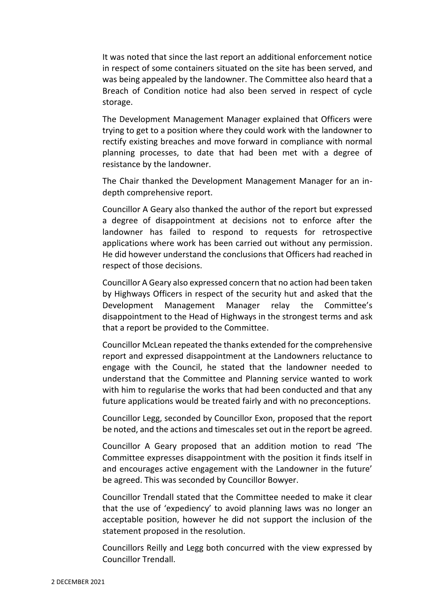It was noted that since the last report an additional enforcement notice in respect of some containers situated on the site has been served, and was being appealed by the landowner. The Committee also heard that a Breach of Condition notice had also been served in respect of cycle storage.

The Development Management Manager explained that Officers were trying to get to a position where they could work with the landowner to rectify existing breaches and move forward in compliance with normal planning processes, to date that had been met with a degree of resistance by the landowner.

The Chair thanked the Development Management Manager for an indepth comprehensive report.

Councillor A Geary also thanked the author of the report but expressed a degree of disappointment at decisions not to enforce after the landowner has failed to respond to requests for retrospective applications where work has been carried out without any permission. He did however understand the conclusions that Officers had reached in respect of those decisions.

Councillor A Geary also expressed concern that no action had been taken by Highways Officers in respect of the security hut and asked that the Development Management Manager relay the Committee's disappointment to the Head of Highways in the strongest terms and ask that a report be provided to the Committee.

Councillor McLean repeated the thanks extended for the comprehensive report and expressed disappointment at the Landowners reluctance to engage with the Council, he stated that the landowner needed to understand that the Committee and Planning service wanted to work with him to regularise the works that had been conducted and that any future applications would be treated fairly and with no preconceptions.

Councillor Legg, seconded by Councillor Exon, proposed that the report be noted, and the actions and timescales set out in the report be agreed.

Councillor A Geary proposed that an addition motion to read 'The Committee expresses disappointment with the position it finds itself in and encourages active engagement with the Landowner in the future' be agreed. This was seconded by Councillor Bowyer.

Councillor Trendall stated that the Committee needed to make it clear that the use of 'expediency' to avoid planning laws was no longer an acceptable position, however he did not support the inclusion of the statement proposed in the resolution.

Councillors Reilly and Legg both concurred with the view expressed by Councillor Trendall.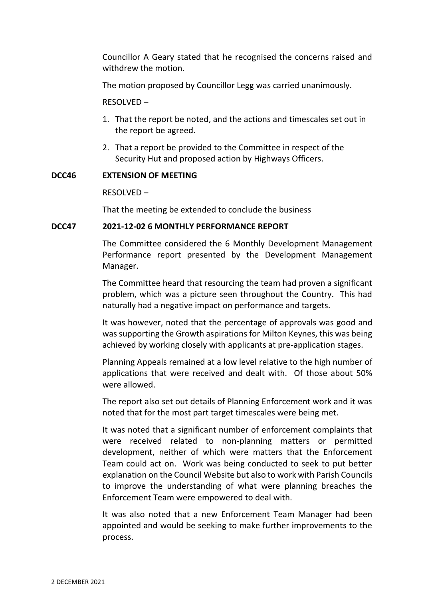Councillor A Geary stated that he recognised the concerns raised and withdrew the motion.

The motion proposed by Councillor Legg was carried unanimously.

RESOLVED –

- 1. That the report be noted, and the actions and timescales set out in the report be agreed.
- 2. That a report be provided to the Committee in respect of the Security Hut and proposed action by Highways Officers.

### **DCC46 EXTENSION OF MEETING**

RESOLVED –

That the meeting be extended to conclude the business

### **DCC47 2021-12-02 6 MONTHLY PERFORMANCE REPORT**

The Committee considered the 6 Monthly Development Management Performance report presented by the Development Management Manager.

The Committee heard that resourcing the team had proven a significant problem, which was a picture seen throughout the Country. This had naturally had a negative impact on performance and targets.

It was however, noted that the percentage of approvals was good and was supporting the Growth aspirations for Milton Keynes, this was being achieved by working closely with applicants at pre-application stages.

Planning Appeals remained at a low level relative to the high number of applications that were received and dealt with. Of those about 50% were allowed.

The report also set out details of Planning Enforcement work and it was noted that for the most part target timescales were being met.

It was noted that a significant number of enforcement complaints that were received related to non-planning matters or permitted development, neither of which were matters that the Enforcement Team could act on. Work was being conducted to seek to put better explanation on the Council Website but also to work with Parish Councils to improve the understanding of what were planning breaches the Enforcement Team were empowered to deal with.

It was also noted that a new Enforcement Team Manager had been appointed and would be seeking to make further improvements to the process.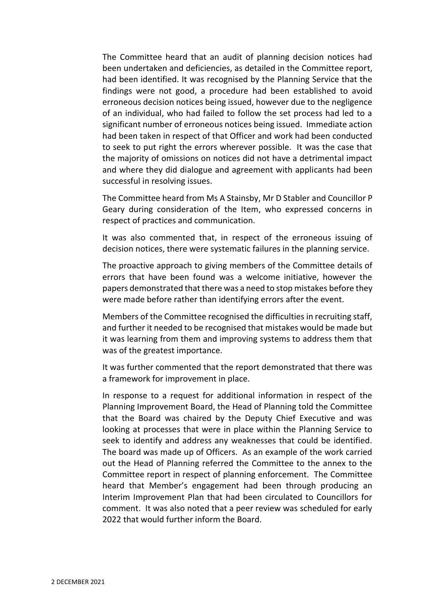The Committee heard that an audit of planning decision notices had been undertaken and deficiencies, as detailed in the Committee report, had been identified. It was recognised by the Planning Service that the findings were not good, a procedure had been established to avoid erroneous decision notices being issued, however due to the negligence of an individual, who had failed to follow the set process had led to a significant number of erroneous notices being issued. Immediate action had been taken in respect of that Officer and work had been conducted to seek to put right the errors wherever possible. It was the case that the majority of omissions on notices did not have a detrimental impact and where they did dialogue and agreement with applicants had been successful in resolving issues.

The Committee heard from Ms A Stainsby, Mr D Stabler and Councillor P Geary during consideration of the Item, who expressed concerns in respect of practices and communication.

It was also commented that, in respect of the erroneous issuing of decision notices, there were systematic failures in the planning service.

The proactive approach to giving members of the Committee details of errors that have been found was a welcome initiative, however the papers demonstrated that there was a need to stop mistakes before they were made before rather than identifying errors after the event.

Members of the Committee recognised the difficulties in recruiting staff, and further it needed to be recognised that mistakes would be made but it was learning from them and improving systems to address them that was of the greatest importance.

It was further commented that the report demonstrated that there was a framework for improvement in place.

In response to a request for additional information in respect of the Planning Improvement Board, the Head of Planning told the Committee that the Board was chaired by the Deputy Chief Executive and was looking at processes that were in place within the Planning Service to seek to identify and address any weaknesses that could be identified. The board was made up of Officers. As an example of the work carried out the Head of Planning referred the Committee to the annex to the Committee report in respect of planning enforcement. The Committee heard that Member's engagement had been through producing an Interim Improvement Plan that had been circulated to Councillors for comment. It was also noted that a peer review was scheduled for early 2022 that would further inform the Board.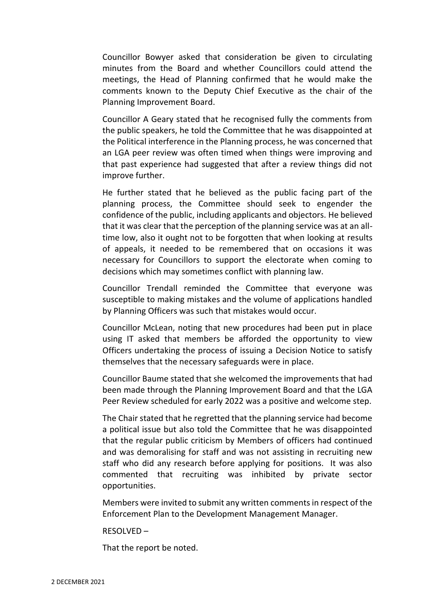Councillor Bowyer asked that consideration be given to circulating minutes from the Board and whether Councillors could attend the meetings, the Head of Planning confirmed that he would make the comments known to the Deputy Chief Executive as the chair of the Planning Improvement Board.

Councillor A Geary stated that he recognised fully the comments from the public speakers, he told the Committee that he was disappointed at the Political interference in the Planning process, he was concerned that an LGA peer review was often timed when things were improving and that past experience had suggested that after a review things did not improve further.

He further stated that he believed as the public facing part of the planning process, the Committee should seek to engender the confidence of the public, including applicants and objectors. He believed that it was clear that the perception of the planning service was at an alltime low, also it ought not to be forgotten that when looking at results of appeals, it needed to be remembered that on occasions it was necessary for Councillors to support the electorate when coming to decisions which may sometimes conflict with planning law.

Councillor Trendall reminded the Committee that everyone was susceptible to making mistakes and the volume of applications handled by Planning Officers was such that mistakes would occur.

Councillor McLean, noting that new procedures had been put in place using IT asked that members be afforded the opportunity to view Officers undertaking the process of issuing a Decision Notice to satisfy themselves that the necessary safeguards were in place.

Councillor Baume stated that she welcomed the improvements that had been made through the Planning Improvement Board and that the LGA Peer Review scheduled for early 2022 was a positive and welcome step.

The Chair stated that he regretted that the planning service had become a political issue but also told the Committee that he was disappointed that the regular public criticism by Members of officers had continued and was demoralising for staff and was not assisting in recruiting new staff who did any research before applying for positions. It was also commented that recruiting was inhibited by private sector opportunities.

Members were invited to submit any written comments in respect of the Enforcement Plan to the Development Management Manager.

### RESOLVED –

That the report be noted.